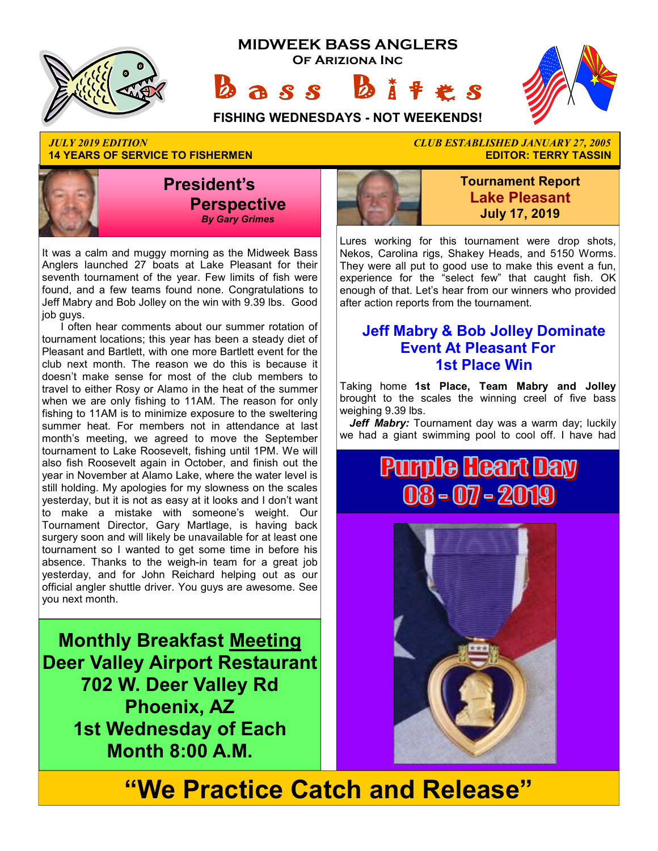





**14 YEARS OF SERVICE TO FISHERMEN** 



It was a calm and muggy morning as the Midweek Bass Anglers launched 27 boats at Lake Pleasant for their seventh tournament of the year. Few limits of fish were found, and a few teams found none. Congratulations to Jeff Mabry and Bob Jolley on the win with 9.39 lbs. Good job guys.

I often hear comments about our summer rotation of tournament locations; this year has been a steady diet of Pleasant and Bartlett, with one more Bartlett event for the club next month. The reason we do this is because it doesn't make sense for most of the club members to travel to either Rosy or Alamo in the heat of the summer when we are only fishing to 11AM. The reason for only fishing to 11AM is to minimize exposure to the sweltering summer heat. For members not in attendance at last month's meeting, we agreed to move the September tournament to Lake Roosevelt, fishing until 1PM. We will also fish Roosevelt again in October, and finish out the year in November at Alamo Lake, where the water level is still holding. My apologies for my slowness on the scales yesterday, but it is not as easy at it looks and I don't want to make a mistake with someone's weight. Our Tournament Director, Gary Martlage, is having back surgery soon and will likely be unavailable for at least one tournament so I wanted to get some time in before his absence. Thanks to the weigh-in team for a great job yesterday, and for John Reichard helping out as our official angler shuttle driver. You guys are awesome. See you next month.

**Monthly Breakfast Meeting Deer Valley Airport Restaurant 702 W. Deer Valley Rd Phoenix, AZ 1st Wednesday of Each Month 8:00 A.M.** 

# *JULY 2019 EDITION CLUB ESTABLISHED JANUARY 27, 2005*



**Tournament Report Lake Pleasant July 17, 2019**

Lures working for this tournament were drop shots, Nekos, Carolina rigs, Shakey Heads, and 5150 Worms. They were all put to good use to make this event a fun, experience for the "select few" that caught fish. OK enough of that. Let's hear from our winners who provided after action reports from the tournament.

#### **Jeff Mabry & Bob Jolley Dominate Event At Pleasant For 1st Place Win**

Taking home **1st Place, Team Mabry and Jolley**  brought to the scales the winning creel of five bass weighing 9.39 lbs.

Jeff Mabry: Tournament day was a warm day; luckily we had a giant swimming pool to cool off. I have had

# **Pumple Heart Day** 08 - 07 - 2019



# **"We Practice Catch and Release"**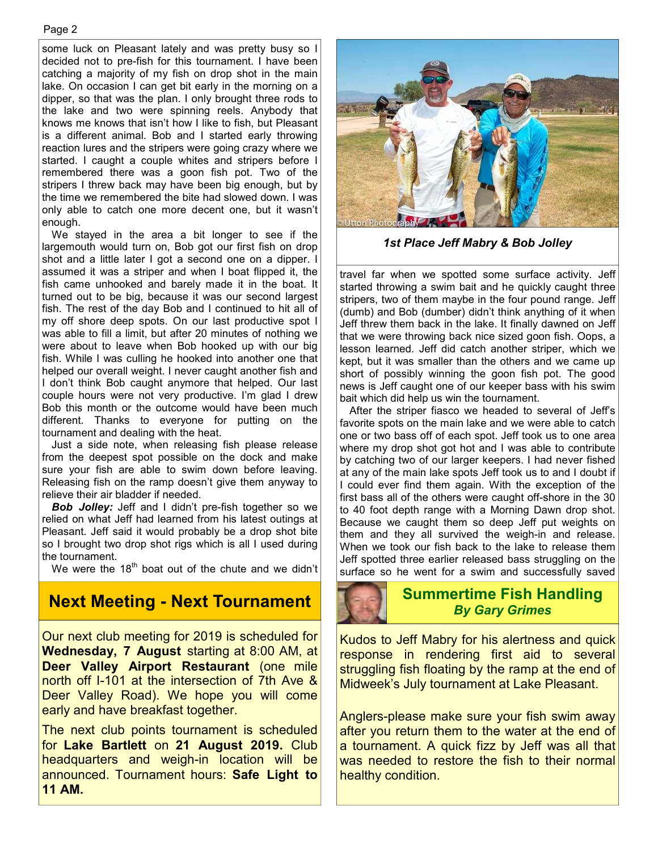#### Page 2

some luck on Pleasant lately and was pretty busy so I decided not to pre-fish for this tournament. I have been catching a majority of my fish on drop shot in the main lake. On occasion I can get bit early in the morning on a dipper, so that was the plan. I only brought three rods to the lake and two were spinning reels. Anybody that knows me knows that isn't how I like to fish, but Pleasant is a different animal. Bob and I started early throwing reaction lures and the stripers were going crazy where we started. I caught a couple whites and stripers before I remembered there was a goon fish pot. Two of the stripers I threw back may have been big enough, but by the time we remembered the bite had slowed down. I was only able to catch one more decent one, but it wasn't enough.

We stayed in the area a bit longer to see if the largemouth would turn on, Bob got our first fish on drop shot and a little later I got a second one on a dipper. I assumed it was a striper and when I boat flipped it, the fish came unhooked and barely made it in the boat. It turned out to be big, because it was our second largest fish. The rest of the day Bob and I continued to hit all of my off shore deep spots. On our last productive spot I was able to fill a limit, but after 20 minutes of nothing we were about to leave when Bob hooked up with our big fish. While I was culling he hooked into another one that helped our overall weight. I never caught another fish and I don't think Bob caught anymore that helped. Our last couple hours were not very productive. I'm glad I drew Bob this month or the outcome would have been much different. Thanks to everyone for putting on the tournament and dealing with the heat.

Just a side note, when releasing fish please release from the deepest spot possible on the dock and make sure your fish are able to swim down before leaving. Releasing fish on the ramp doesn't give them anyway to relieve their air bladder if needed.

**Bob Jolley:** Jeff and I didn't pre-fish together so we relied on what Jeff had learned from his latest outings at Pleasant. Jeff said it would probably be a drop shot bite so I brought two drop shot rigs which is all I used during the tournament.

We were the  $18<sup>th</sup>$  boat out of the chute and we didn't

## *By Gary Grimes* **Next Meeting - Next Tournament**

Our next club meeting for 2019 is scheduled for **Wednesday, 7 August** starting at 8:00 AM, at **Deer Valley Airport Restaurant** (one mile north off I-101 at the intersection of 7th Ave & Deer Valley Road). We hope you will come early and have breakfast together.

The next club points tournament is scheduled for **Lake Bartlett** on **21 August 2019.** Club headquarters and weigh-in location will be announced. Tournament hours: **Safe Light to 11 AM.**



*1st Place Jeff Mabry & Bob Jolley* 

travel far when we spotted some surface activity. Jeff started throwing a swim bait and he quickly caught three stripers, two of them maybe in the four pound range. Jeff (dumb) and Bob (dumber) didn't think anything of it when Jeff threw them back in the lake. It finally dawned on Jeff that we were throwing back nice sized goon fish. Oops, a lesson learned. Jeff did catch another striper, which we kept, but it was smaller than the others and we came up short of possibly winning the goon fish pot. The good news is Jeff caught one of our keeper bass with his swim bait which did help us win the tournament.

After the striper fiasco we headed to several of Jeff's favorite spots on the main lake and we were able to catch one or two bass off of each spot. Jeff took us to one area where my drop shot got hot and I was able to contribute by catching two of our larger keepers. I had never fished at any of the main lake spots Jeff took us to and I doubt if I could ever find them again. With the exception of the first bass all of the others were caught off-shore in the 30 to 40 foot depth range with a Morning Dawn drop shot. Because we caught them so deep Jeff put weights on them and they all survived the weigh-in and release. When we took our fish back to the lake to release them Jeff spotted three earlier released bass struggling on the surface so he went for a swim and successfully saved

# **Summertime Fish Handling**

Kudos to Jeff Mabry for his alertness and quick response in rendering first aid to several struggling fish floating by the ramp at the end of Midweek's July tournament at Lake Pleasant.

Anglers-please make sure your fish swim away after you return them to the water at the end of a tournament. A quick fizz by Jeff was all that was needed to restore the fish to their normal healthy condition.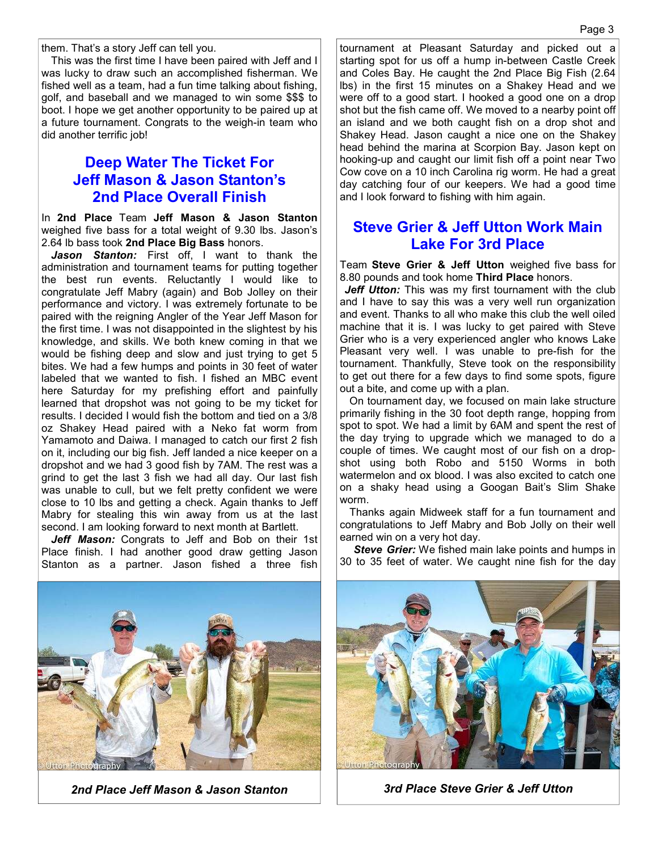them. That's a story Jeff can tell you.

This was the first time I have been paired with Jeff and I was lucky to draw such an accomplished fisherman. We fished well as a team, had a fun time talking about fishing, golf, and baseball and we managed to win some \$\$\$ to boot. I hope we get another opportunity to be paired up at a future tournament. Congrats to the weigh-in team who did another terrific job!

#### **Deep Water The Ticket For Jeff Mason & Jason Stanton's 2nd Place Overall Finish**

In **2nd Place** Team **Jeff Mason & Jason Stanton** weighed five bass for a total weight of 9.30 lbs. Jason's 2.64 lb bass took **2nd Place Big Bass** honors.

*Jason Stanton:* First off, I want to thank the administration and tournament teams for putting together the best run events. Reluctantly I would like to congratulate Jeff Mabry (again) and Bob Jolley on their performance and victory. I was extremely fortunate to be paired with the reigning Angler of the Year Jeff Mason for the first time. I was not disappointed in the slightest by his knowledge, and skills. We both knew coming in that we would be fishing deep and slow and just trying to get 5 bites. We had a few humps and points in 30 feet of water labeled that we wanted to fish. I fished an MBC event here Saturday for my prefishing effort and painfully learned that dropshot was not going to be my ticket for results. I decided I would fish the bottom and tied on a 3/8 oz Shakey Head paired with a Neko fat worm from Yamamoto and Daiwa. I managed to catch our first 2 fish on it, including our big fish. Jeff landed a nice keeper on a dropshot and we had 3 good fish by 7AM. The rest was a grind to get the last 3 fish we had all day. Our last fish was unable to cull, but we felt pretty confident we were close to 10 lbs and getting a check. Again thanks to Jeff Mabry for stealing this win away from us at the last second. I am looking forward to next month at Bartlett.

Jeff Mason: Congrats to Jeff and Bob on their 1st Place finish. I had another good draw getting Jason Stanton as a partner. Jason fished a three fish

tournament at Pleasant Saturday and picked out a starting spot for us off a hump in-between Castle Creek and Coles Bay. He caught the 2nd Place Big Fish (2.64 lbs) in the first 15 minutes on a Shakey Head and we were off to a good start. I hooked a good one on a drop shot but the fish came off. We moved to a nearby point off an island and we both caught fish on a drop shot and Shakey Head. Jason caught a nice one on the Shakey head behind the marina at Scorpion Bay. Jason kept on hooking-up and caught our limit fish off a point near Two Cow cove on a 10 inch Carolina rig worm. He had a great day catching four of our keepers. We had a good time and I look forward to fishing with him again.

#### **Steve Grier & Jeff Utton Work Main Lake For 3rd Place**

Team **Steve Grier & Jeff Utton** weighed five bass for 8.80 pounds and took home **Third Place** honors.

*Jeff Utton:* This was my first tournament with the club and I have to say this was a very well run organization and event. Thanks to all who make this club the well oiled machine that it is. I was lucky to get paired with Steve Grier who is a very experienced angler who knows Lake Pleasant very well. I was unable to pre-fish for the tournament. Thankfully, Steve took on the responsibility to get out there for a few days to find some spots, figure out a bite, and come up with a plan.

On tournament day, we focused on main lake structure primarily fishing in the 30 foot depth range, hopping from spot to spot. We had a limit by 6AM and spent the rest of the day trying to upgrade which we managed to do a couple of times. We caught most of our fish on a dropshot using both Robo and 5150 Worms in both watermelon and ox blood. I was also excited to catch one on a shaky head using a Googan Bait's Slim Shake worm.

Thanks again Midweek staff for a fun tournament and congratulations to Jeff Mabry and Bob Jolly on their well earned win on a very hot day.

*Steve Grier:* We fished main lake points and humps in 30 to 35 feet of water. We caught nine fish for the day



*2nd Place Jeff Mason & Jason Stanton 3rd Place Steve Grier & Jeff Utton*

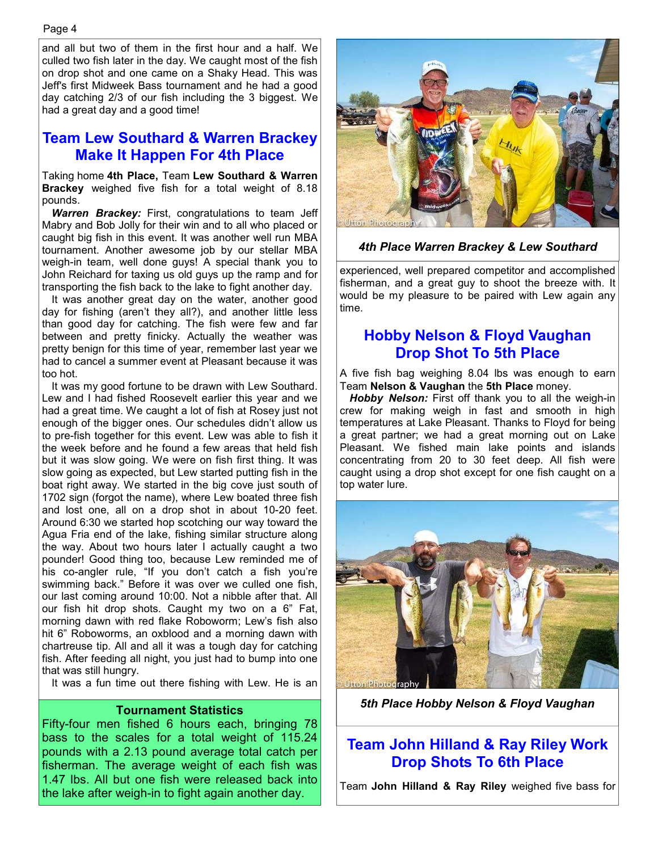and all but two of them in the first hour and a half. We culled two fish later in the day. We caught most of the fish on drop shot and one came on a Shaky Head. This was Jeff's first Midweek Bass tournament and he had a good day catching 2/3 of our fish including the 3 biggest. We had a great day and a good time!

#### **Team Lew Southard & Warren Brackey Make It Happen For 4th Place**

Taking home **4th Place,** Team **Lew Southard & Warren Brackey** weighed five fish for a total weight of 8.18 pounds.

*Warren Brackey:* First, congratulations to team Jeff Mabry and Bob Jolly for their win and to all who placed or caught big fish in this event. It was another well run MBA tournament. Another awesome job by our stellar MBA weigh-in team, well done guys! A special thank you to John Reichard for taxing us old guys up the ramp and for transporting the fish back to the lake to fight another day.

It was another great day on the water, another good day for fishing (aren't they all?), and another little less than good day for catching. The fish were few and far between and pretty finicky. Actually the weather was pretty benign for this time of year, remember last year we had to cancel a summer event at Pleasant because it was too hot.

It was my good fortune to be drawn with Lew Southard. Lew and I had fished Roosevelt earlier this year and we had a great time. We caught a lot of fish at Rosey just not enough of the bigger ones. Our schedules didn't allow us to pre-fish together for this event. Lew was able to fish it the week before and he found a few areas that held fish but it was slow going. We were on fish first thing. It was slow going as expected, but Lew started putting fish in the boat right away. We started in the big cove just south of 1702 sign (forgot the name), where Lew boated three fish and lost one, all on a drop shot in about 10-20 feet. Around 6:30 we started hop scotching our way toward the Agua Fria end of the lake, fishing similar structure along the way. About two hours later I actually caught a two pounder! Good thing too, because Lew reminded me of his co-angler rule, "If you don't catch a fish you're swimming back." Before it was over we culled one fish, our last coming around 10:00. Not a nibble after that. All our fish hit drop shots. Caught my two on a 6" Fat, morning dawn with red flake Roboworm; Lew's fish also hit 6" Roboworms, an oxblood and a morning dawn with chartreuse tip. All and all it was a tough day for catching fish. After feeding all night, you just had to bump into one that was still hungry.

It was a fun time out there fishing with Lew. He is an

#### **Tournament Statistics**

Fifty-four men fished 6 hours each, bringing 78 bass to the scales for a total weight of 115.24 pounds with a 2.13 pound average total catch per fisherman. The average weight of each fish was 1.47 lbs. All but one fish were released back into the lake after weigh-in to fight again another day.



#### *4th Place Warren Brackey & Lew Southard*

experienced, well prepared competitor and accomplished fisherman, and a great guy to shoot the breeze with. It would be my pleasure to be paired with Lew again any time.

#### **Hobby Nelson & Floyd Vaughan Drop Shot To 5th Place**

A five fish bag weighing 8.04 lbs was enough to earn Team **Nelson & Vaughan** the **5th Place** money.

*Hobby Nelson:* First off thank you to all the weigh-in crew for making weigh in fast and smooth in high temperatures at Lake Pleasant. Thanks to Floyd for being a great partner; we had a great morning out on Lake Pleasant. We fished main lake points and islands concentrating from 20 to 30 feet deep. All fish were caught using a drop shot except for one fish caught on a top water lure.



*5th Place Hobby Nelson & Floyd Vaughan* 

#### **Team John Hilland & Ray Riley Work Drop Shots To 6th Place**

Team **John Hilland & Ray Riley** weighed five bass for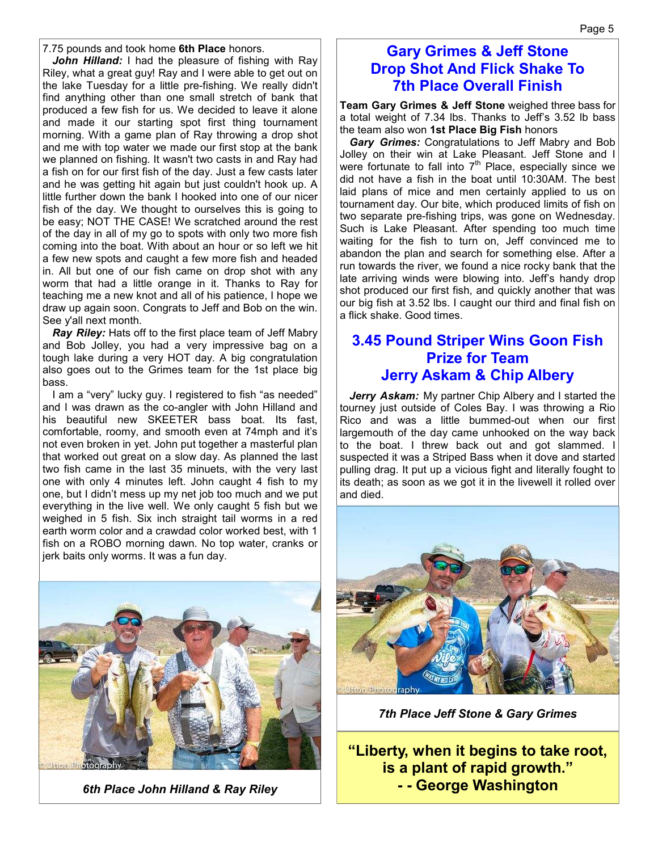7.75 pounds and took home **6th Place** honors.

*John Hilland:* I had the pleasure of fishing with Ray Riley, what a great guy! Ray and I were able to get out on the lake Tuesday for a little pre-fishing. We really didn't find anything other than one small stretch of bank that produced a few fish for us. We decided to leave it alone and made it our starting spot first thing tournament morning. With a game plan of Ray throwing a drop shot and me with top water we made our first stop at the bank we planned on fishing. It wasn't two casts in and Ray had a fish on for our first fish of the day. Just a few casts later and he was getting hit again but just couldn't hook up. A little further down the bank I hooked into one of our nicer fish of the day. We thought to ourselves this is going to be easy; NOT THE CASE! We scratched around the rest of the day in all of my go to spots with only two more fish coming into the boat. With about an hour or so left we hit a few new spots and caught a few more fish and headed in. All but one of our fish came on drop shot with any worm that had a little orange in it. Thanks to Ray for teaching me a new knot and all of his patience, I hope we draw up again soon. Congrats to Jeff and Bob on the win. See y'all next month.

*Ray Riley:* Hats off to the first place team of Jeff Mabry and Bob Jolley, you had a very impressive bag on a tough lake during a very HOT day. A big congratulation also goes out to the Grimes team for the 1st place big bass.

I am a "very" lucky guy. I registered to fish "as needed" and I was drawn as the co-angler with John Hilland and his beautiful new SKEETER bass boat. Its fast, comfortable, roomy, and smooth even at 74mph and it's not even broken in yet. John put together a masterful plan that worked out great on a slow day. As planned the last two fish came in the last 35 minuets, with the very last one with only 4 minutes left. John caught 4 fish to my one, but I didn't mess up my net job too much and we put everything in the live well. We only caught 5 fish but we weighed in 5 fish. Six inch straight tail worms in a red earth worm color and a crawdad color worked best, with 1 fish on a ROBO morning dawn. No top water, cranks or jerk baits only worms. It was a fun day.



*6th Place John Hilland & Ray Riley* 

#### **Gary Grimes & Jeff Stone Drop Shot And Flick Shake To 7th Place Overall Finish**

**Team Gary Grimes & Jeff Stone** weighed three bass for a total weight of 7.34 lbs. Thanks to Jeff's 3.52 lb bass the team also won **1st Place Big Fish** honors

*Gary Grimes:* Congratulations to Jeff Mabry and Bob Jolley on their win at Lake Pleasant. Jeff Stone and I were fortunate to fall into  $7<sup>th</sup>$  Place, especially since we did not have a fish in the boat until 10:30AM. The best laid plans of mice and men certainly applied to us on tournament day. Our bite, which produced limits of fish on two separate pre-fishing trips, was gone on Wednesday. Such is Lake Pleasant. After spending too much time waiting for the fish to turn on, Jeff convinced me to abandon the plan and search for something else. After a run towards the river, we found a nice rocky bank that the late arriving winds were blowing into. Jeff's handy drop shot produced our first fish, and quickly another that was our big fish at 3.52 lbs. I caught our third and final fish on a flick shake. Good times.

#### **3.45 Pound Striper Wins Goon Fish Prize for Team Jerry Askam & Chip Albery**

Jerry Askam: My partner Chip Albery and I started the tourney just outside of Coles Bay. I was throwing a Rio Rico and was a little bummed-out when our first largemouth of the day came unhooked on the way back to the boat. I threw back out and got slammed. I suspected it was a Striped Bass when it dove and started pulling drag. It put up a vicious fight and literally fought to its death; as soon as we got it in the livewell it rolled over and died.



*7th Place Jeff Stone & Gary Grimes*

**"Liberty, when it begins to take root, is a plant of rapid growth." - - George Washington**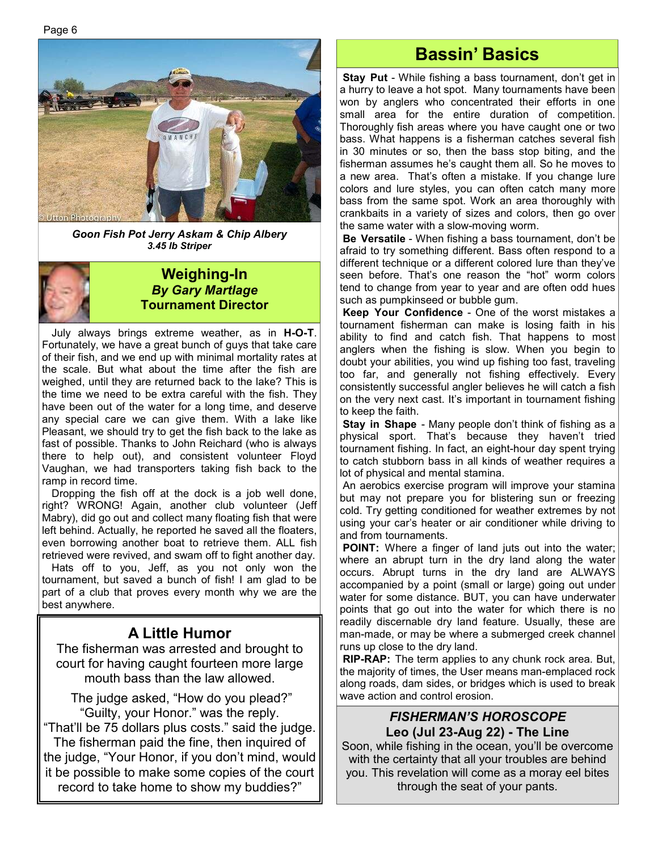Page 6



*Goon Fish Pot Jerry Askam & Chip Albery 3.45 lb Striper* 



#### **Weighing-In**  *By Gary Martlage*  **Tournament Director**

July always brings extreme weather, as in **H-O-T**. Fortunately, we have a great bunch of guys that take care of their fish, and we end up with minimal mortality rates at the scale. But what about the time after the fish are weighed, until they are returned back to the lake? This is the time we need to be extra careful with the fish. They have been out of the water for a long time, and deserve any special care we can give them. With a lake like Pleasant, we should try to get the fish back to the lake as fast of possible. Thanks to John Reichard (who is always there to help out), and consistent volunteer Floyd Vaughan, we had transporters taking fish back to the ramp in record time.

Dropping the fish off at the dock is a job well done, right? WRONG! Again, another club volunteer (Jeff Mabry), did go out and collect many floating fish that were left behind. Actually, he reported he saved all the floaters, even borrowing another boat to retrieve them. ALL fish retrieved were revived, and swam off to fight another day.

Hats off to you, Jeff, as you not only won the tournament, but saved a bunch of fish! I am glad to be part of a club that proves every month why we are the best anywhere.

### **A Little Humor**

The fisherman was arrested and brought to court for having caught fourteen more large mouth bass than the law allowed.

 The judge asked, "How do you plead?" "Guilty, your Honor." was the reply. "That'll be 75 dollars plus costs." said the judge. The fisherman paid the fine, then inquired of the judge, "Your Honor, if you don't mind, would it be possible to make some copies of the court record to take home to show my buddies?"

### **Bassin' Basics**

 **Stay Put** - While fishing a bass tournament, don't get in a hurry to leave a hot spot. Many tournaments have been won by anglers who concentrated their efforts in one small area for the entire duration of competition. Thoroughly fish areas where you have caught one or two bass. What happens is a fisherman catches several fish in 30 minutes or so, then the bass stop biting, and the fisherman assumes he's caught them all. So he moves to a new area. That's often a mistake. If you change lure colors and lure styles, you can often catch many more bass from the same spot. Work an area thoroughly with crankbaits in a variety of sizes and colors, then go over the same water with a slow-moving worm.

**Be Versatile** - When fishing a bass tournament, don't be afraid to try something different. Bass often respond to a different technique or a different colored lure than they've seen before. That's one reason the "hot" worm colors tend to change from year to year and are often odd hues such as pumpkinseed or bubble gum.

**Keep Your Confidence** - One of the worst mistakes a tournament fisherman can make is losing faith in his ability to find and catch fish. That happens to most anglers when the fishing is slow. When you begin to doubt your abilities, you wind up fishing too fast, traveling too far, and generally not fishing effectively. Every consistently successful angler believes he will catch a fish on the very next cast. It's important in tournament fishing to keep the faith.

 **Stay in Shape** - Many people don't think of fishing as a physical sport. That's because they haven't tried tournament fishing. In fact, an eight-hour day spent trying to catch stubborn bass in all kinds of weather requires a lot of physical and mental stamina.

 An aerobics exercise program will improve your stamina but may not prepare you for blistering sun or freezing cold. Try getting conditioned for weather extremes by not using your car's heater or air conditioner while driving to and from tournaments.

**POINT:** Where a finger of land juts out into the water; where an abrupt turn in the dry land along the water occurs. Abrupt turns in the dry land are ALWAYS accompanied by a point (small or large) going out under water for some distance. BUT, you can have underwater points that go out into the water for which there is no readily discernable dry land feature. Usually, these are man-made, or may be where a submerged creek channel runs up close to the dry land.

 **RIP-RAP:** The term applies to any chunk rock area. But, the majority of times, the User means man-emplaced rock along roads, dam sides, or bridges which is used to break wave action and control erosion.

#### *FISHERMAN'S HOROSCOPE*  **Leo (Jul 23-Aug 22) - The Line**

Soon, while fishing in the ocean, you'll be overcome with the certainty that all your troubles are behind you. This revelation will come as a moray eel bites through the seat of your pants.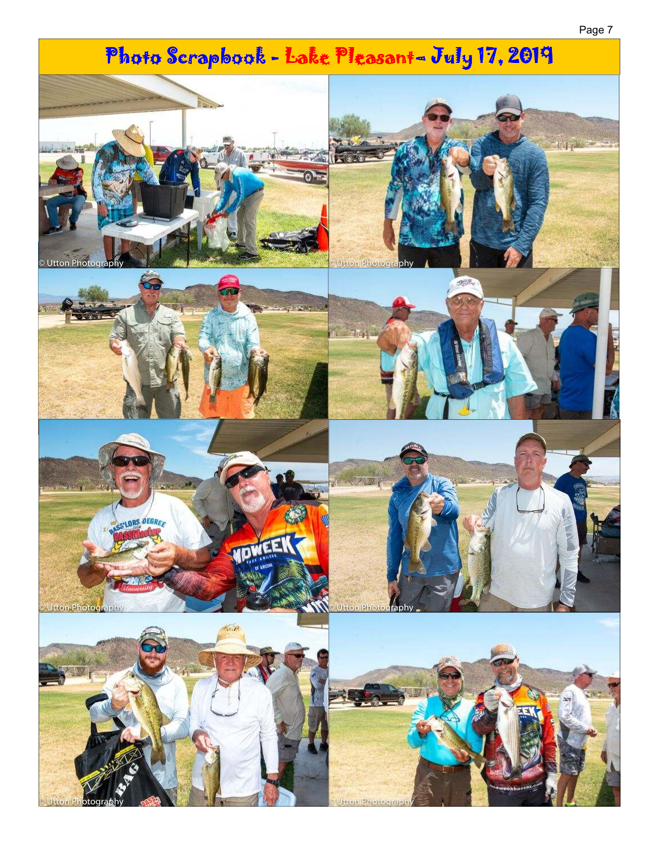